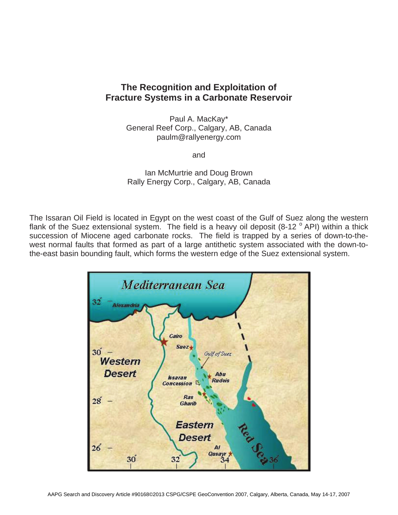## **The Recognition and Exploitation of Fracture Systems in a Carbonate Reservoir**

Paul A. MacKay\* General Reef Corp., Calgary, AB, Canada paulm@rallyenergy.com

and

Ian McMurtrie and Doug Brown Rally Energy Corp., Calgary, AB, Canada

The Issaran Oil Field is located in Egypt on the west coast of the Gulf of Suez along the western flank of the Suez extensional system. The field is a heavy oil deposit  $(8-12 \degree API)$  within a thick succession of Miocene aged carbonate rocks. The field is trapped by a series of down-to-thewest normal faults that formed as part of a large antithetic system associated with the down-tothe-east basin bounding fault, which forms the western edge of the Suez extensional system.